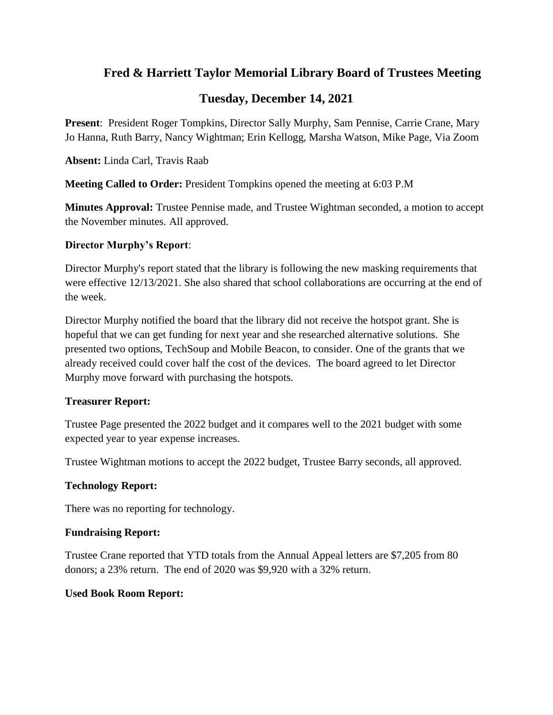# **Fred & Harriett Taylor Memorial Library Board of Trustees Meeting**

# **Tuesday, December 14, 2021**

**Present**: President Roger Tompkins, Director Sally Murphy, Sam Pennise, Carrie Crane, Mary Jo Hanna, Ruth Barry, Nancy Wightman; Erin Kellogg, Marsha Watson, Mike Page, Via Zoom

**Absent:** Linda Carl, Travis Raab

**Meeting Called to Order:** President Tompkins opened the meeting at 6:03 P.M

**Minutes Approval:** Trustee Pennise made, and Trustee Wightman seconded, a motion to accept the November minutes. All approved.

## **Director Murphy's Report**:

Director Murphy's report stated that the library is following the new masking requirements that were effective 12/13/2021. She also shared that school collaborations are occurring at the end of the week.

Director Murphy notified the board that the library did not receive the hotspot grant. She is hopeful that we can get funding for next year and she researched alternative solutions. She presented two options, TechSoup and Mobile Beacon, to consider. One of the grants that we already received could cover half the cost of the devices. The board agreed to let Director Murphy move forward with purchasing the hotspots.

## **Treasurer Report:**

Trustee Page presented the 2022 budget and it compares well to the 2021 budget with some expected year to year expense increases.

Trustee Wightman motions to accept the 2022 budget, Trustee Barry seconds, all approved.

## **Technology Report:**

There was no reporting for technology.

## **Fundraising Report:**

Trustee Crane reported that YTD totals from the Annual Appeal letters are \$7,205 from 80 donors; a 23% return. The end of 2020 was \$9,920 with a 32% return.

## **Used Book Room Report:**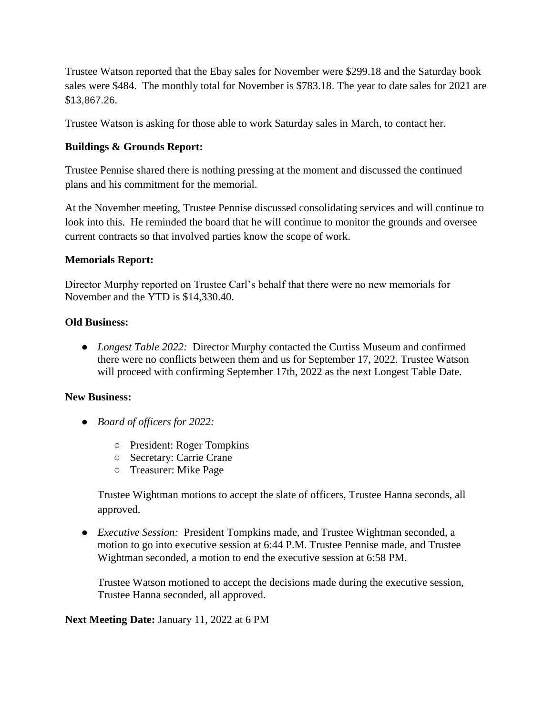Trustee Watson reported that the Ebay sales for November were \$299.18 and the Saturday book sales were \$484. The monthly total for November is \$783.18. The year to date sales for 2021 are \$13,867.26.

Trustee Watson is asking for those able to work Saturday sales in March, to contact her.

#### **Buildings & Grounds Report:**

Trustee Pennise shared there is nothing pressing at the moment and discussed the continued plans and his commitment for the memorial.

At the November meeting, Trustee Pennise discussed consolidating services and will continue to look into this. He reminded the board that he will continue to monitor the grounds and oversee current contracts so that involved parties know the scope of work.

#### **Memorials Report:**

Director Murphy reported on Trustee Carl's behalf that there were no new memorials for November and the YTD is \$14,330.40.

#### **Old Business:**

● *Longest Table 2022:* Director Murphy contacted the Curtiss Museum and confirmed there were no conflicts between them and us for September 17, 2022. Trustee Watson will proceed with confirming September 17th, 2022 as the next Longest Table Date.

#### **New Business:**

- *Board of officers for 2022:* 
	- President: Roger Tompkins
	- Secretary: Carrie Crane
	- Treasurer: Mike Page

Trustee Wightman motions to accept the slate of officers, Trustee Hanna seconds, all approved.

● *Executive Session:* President Tompkins made, and Trustee Wightman seconded, a motion to go into executive session at 6:44 P.M. Trustee Pennise made, and Trustee Wightman seconded, a motion to end the executive session at 6:58 PM.

Trustee Watson motioned to accept the decisions made during the executive session, Trustee Hanna seconded, all approved.

**Next Meeting Date:** January 11, 2022 at 6 PM